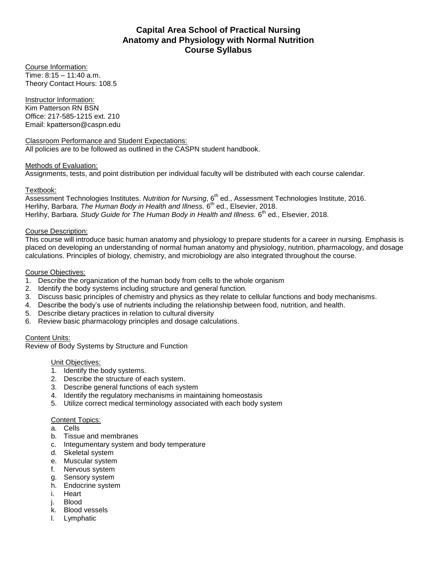# **Capital Area School of Practical Nursing Anatomy and Physiology with Normal Nutrition Course Syllabus**

Course Information: Time: 8:15 – 11:40 a.m. Theory Contact Hours: 108.5

Instructor Information: Kim Patterson RN BSN Office: 217-585-1215 ext. 210 Email: kpatterson@caspn.edu

Classroom Performance and Student Expectations: All policies are to be followed as outlined in the CASPN student handbook.

### Methods of Evaluation:

Assignments, tests, and point distribution per individual faculty will be distributed with each course calendar.

### Textbook:

Assessment Technologies Institutes. *Nutrition for Nursing*, 6<sup>th</sup> ed., Assessment Technologies Institute, 2016. Herlihy, Barbara. *The Human Body in Health and Illness.* 6<sup>th</sup> ed., Elsevier, 2018. Herlihy, Barbara. *Study Guide for The Human Body in Health and Illness.* 6 th ed., Elsevier, 2018.

### Course Description:

This course will introduce basic human anatomy and physiology to prepare students for a career in nursing. Emphasis is placed on developing an understanding of normal human anatomy and physiology, nutrition, pharmacology, and dosage calculations. Principles of biology, chemistry, and microbiology are also integrated throughout the course.

### Course Objectives:

- 1. Describe the organization of the human body from cells to the whole organism
- 2. Identify the body systems including structure and general function.
- 3. Discuss basic principles of chemistry and physics as they relate to cellular functions and body mechanisms.
- 4. Describe the body's use of nutrients including the relationship between food, nutrition, and health.
- 5. Describe dietary practices in relation to cultural diversity
- 6. Review basic pharmacology principles and dosage calculations.

### Content Units:

Review of Body Systems by Structure and Function

#### Unit Objectives:

- 1. Identify the body systems.
- 2. Describe the structure of each system.
- 3. Describe general functions of each system
- 4. Identify the regulatory mechanisms in maintaining homeostasis
- 5. Utilize correct medical terminology associated with each body system

#### Content Topics:

- a. Cells
- b. Tissue and membranes
- c. Integumentary system and body temperature
- d. Skeletal system
- e. Muscular system
- f. Nervous system
- g. Sensory system
- h. Endocrine system
- i. Heart
- j. Blood
- k. Blood vessels
- l. Lymphatic